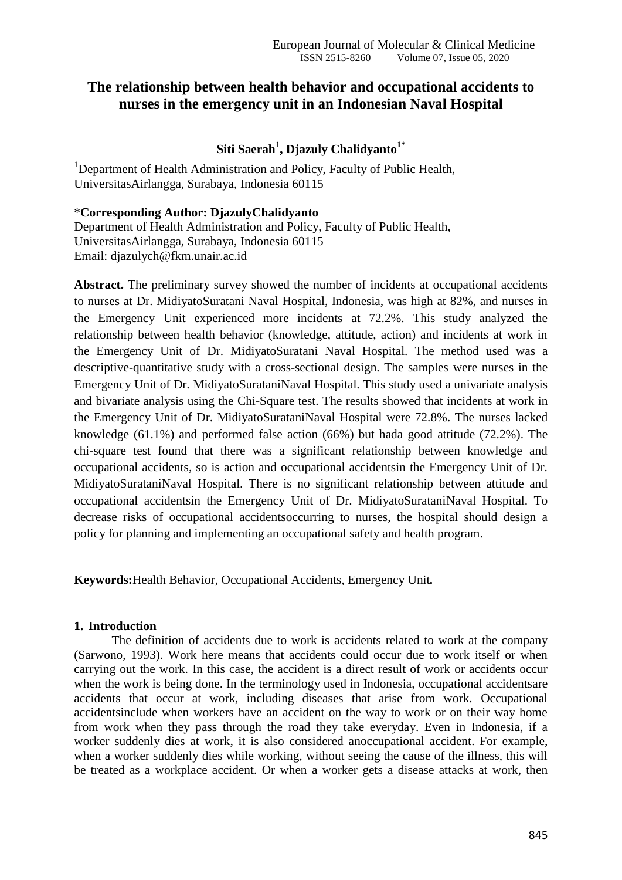# **The relationship between health behavior and occupational accidents to nurses in the emergency unit in an Indonesian Naval Hospital**

# $\mathbf S$ iti Saerah<sup>1</sup>, Djazuly Chalidyanto<sup>1\*</sup>

<sup>1</sup>Department of Health Administration and Policy, Faculty of Public Health, UniversitasAirlangga, Surabaya, Indonesia 60115

#### \***Corresponding Author: DjazulyChalidyanto**

Department of Health Administration and Policy, Faculty of Public Health, UniversitasAirlangga, Surabaya, Indonesia 60115 Email: djazulych@fkm.unair.ac.id

**Abstract.** The preliminary survey showed the number of incidents at occupational accidents to nurses at Dr. MidiyatoSuratani Naval Hospital, Indonesia, was high at 82%, and nurses in the Emergency Unit experienced more incidents at 72.2%. This study analyzed the relationship between health behavior (knowledge, attitude, action) and incidents at work in the Emergency Unit of Dr. MidiyatoSuratani Naval Hospital. The method used was a descriptive-quantitative study with a cross-sectional design. The samples were nurses in the Emergency Unit of Dr. MidiyatoSurataniNaval Hospital. This study used a univariate analysis and bivariate analysis using the Chi-Square test. The results showed that incidents at work in the Emergency Unit of Dr. MidiyatoSurataniNaval Hospital were 72.8%. The nurses lacked knowledge (61.1%) and performed false action (66%) but hada good attitude (72.2%). The chi-square test found that there was a significant relationship between knowledge and occupational accidents, so is action and occupational accidentsin the Emergency Unit of Dr. MidiyatoSurataniNaval Hospital. There is no significant relationship between attitude and occupational accidentsin the Emergency Unit of Dr. MidiyatoSurataniNaval Hospital. To decrease risks of occupational accidentsoccurring to nurses, the hospital should design a policy for planning and implementing an occupational safety and health program.

**Keywords:**Health Behavior, Occupational Accidents, Emergency Unit*.*

#### **1. Introduction**

The definition of accidents due to work is accidents related to work at the company (Sarwono, 1993). Work here means that accidents could occur due to work itself or when carrying out the work. In this case, the accident is a direct result of work or accidents occur when the work is being done. In the terminology used in Indonesia, occupational accidentsare accidents that occur at work, including diseases that arise from work. Occupational accidentsinclude when workers have an accident on the way to work or on their way home from work when they pass through the road they take everyday. Even in Indonesia, if a worker suddenly dies at work, it is also considered anoccupational accident. For example, when a worker suddenly dies while working, without seeing the cause of the illness, this will be treated as a workplace accident. Or when a worker gets a disease attacks at work, then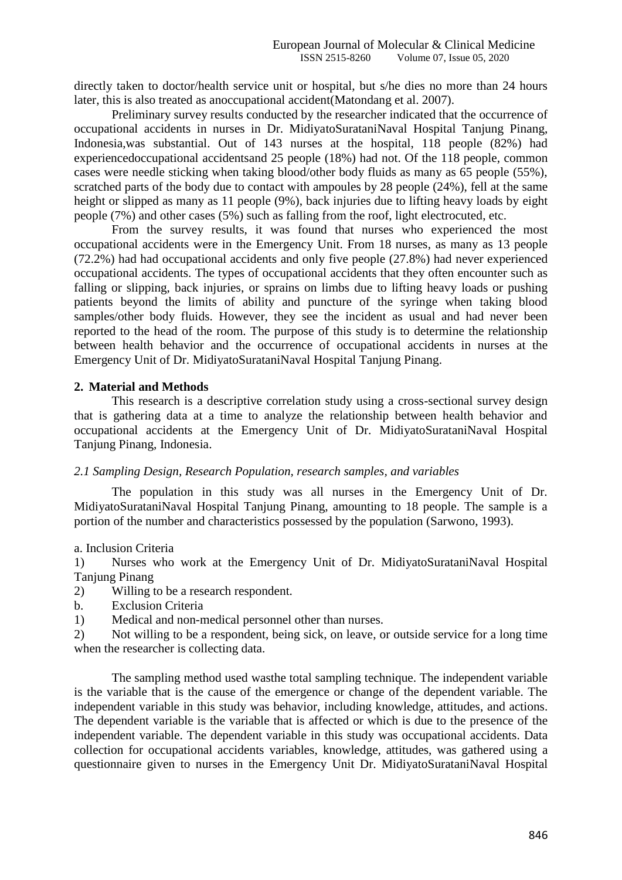directly taken to doctor/health service unit or hospital, but s/he dies no more than 24 hours later, this is also treated as anoccupational accident(Matondang et al. 2007).

Preliminary survey results conducted by the researcher indicated that the occurrence of occupational accidents in nurses in Dr. MidiyatoSurataniNaval Hospital Tanjung Pinang, Indonesia,was substantial. Out of 143 nurses at the hospital, 118 people (82%) had experiencedoccupational accidentsand 25 people (18%) had not. Of the 118 people, common cases were needle sticking when taking blood/other body fluids as many as 65 people (55%), scratched parts of the body due to contact with ampoules by 28 people (24%), fell at the same height or slipped as many as 11 people (9%), back injuries due to lifting heavy loads by eight people (7%) and other cases (5%) such as falling from the roof, light electrocuted, etc.

From the survey results, it was found that nurses who experienced the most occupational accidents were in the Emergency Unit. From 18 nurses, as many as 13 people (72.2%) had had occupational accidents and only five people (27.8%) had never experienced occupational accidents. The types of occupational accidents that they often encounter such as falling or slipping, back injuries, or sprains on limbs due to lifting heavy loads or pushing patients beyond the limits of ability and puncture of the syringe when taking blood samples/other body fluids. However, they see the incident as usual and had never been reported to the head of the room. The purpose of this study is to determine the relationship between health behavior and the occurrence of occupational accidents in nurses at the Emergency Unit of Dr. MidiyatoSurataniNaval Hospital Tanjung Pinang.

## **2. Material and Methods**

This research is a descriptive correlation study using a cross-sectional survey design that is gathering data at a time to analyze the relationship between health behavior and occupational accidents at the Emergency Unit of Dr. MidiyatoSurataniNaval Hospital Tanjung Pinang, Indonesia.

#### *2.1 Sampling Design, Research Population, research samples, and variables*

The population in this study was all nurses in the Emergency Unit of Dr. MidiyatoSurataniNaval Hospital Tanjung Pinang, amounting to 18 people. The sample is a portion of the number and characteristics possessed by the population (Sarwono, 1993).

#### a. Inclusion Criteria

1) Nurses who work at the Emergency Unit of Dr. MidiyatoSurataniNaval Hospital Tanjung Pinang

## 2) Willing to be a research respondent.

b. Exclusion Criteria

1) Medical and non-medical personnel other than nurses.

2) Not willing to be a respondent, being sick, on leave, or outside service for a long time when the researcher is collecting data.

The sampling method used wasthe total sampling technique. The independent variable is the variable that is the cause of the emergence or change of the dependent variable. The independent variable in this study was behavior, including knowledge, attitudes, and actions. The dependent variable is the variable that is affected or which is due to the presence of the independent variable. The dependent variable in this study was occupational accidents. Data collection for occupational accidents variables, knowledge, attitudes, was gathered using a questionnaire given to nurses in the Emergency Unit Dr. MidiyatoSurataniNaval Hospital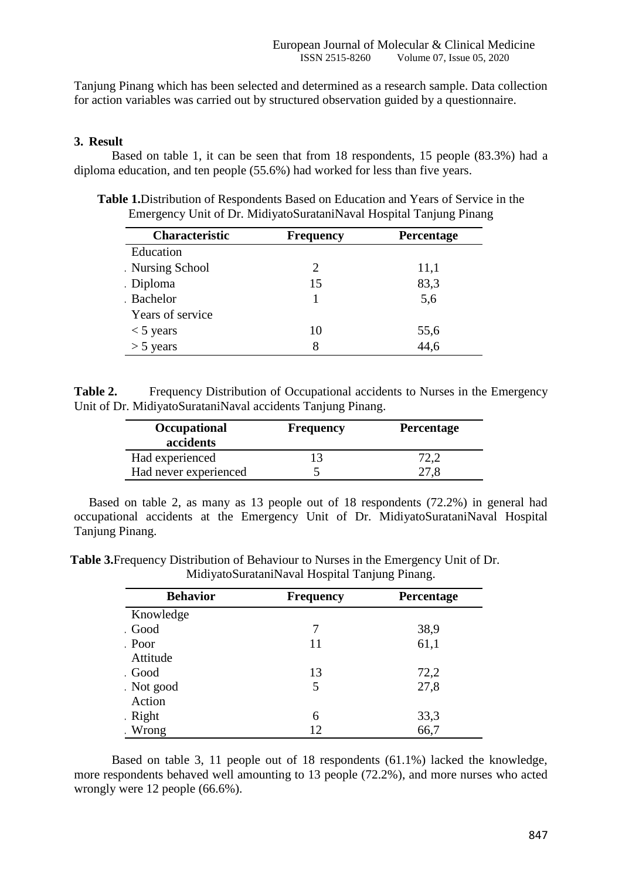Tanjung Pinang which has been selected and determined as a research sample. Data collection for action variables was carried out by structured observation guided by a questionnaire.

## **3. Result**

Based on table 1, it can be seen that from 18 respondents, 15 people (83.3%) had a diploma education, and ten people (55.6%) had worked for less than five years.

| Characteristic   | <b>Frequency</b> | <b>Percentage</b> |  |  |
|------------------|------------------|-------------------|--|--|
| Education        |                  |                   |  |  |
| Nursing School   | 2                | 11,1              |  |  |
| Diploma          | 15               | 83,3              |  |  |
| Bachelor         |                  | 5,6               |  |  |
| Years of service |                  |                   |  |  |
| $<$ 5 years      | 10               | 55,6              |  |  |
| $>$ 5 years      | 8                | 44,6              |  |  |

**Table 1.**Distribution of Respondents Based on Education and Years of Service in the Emergency Unit of Dr. MidiyatoSurataniNaval Hospital Tanjung Pinang

**Table 2.** Frequency Distribution of Occupational accidents to Nurses in the Emergency Unit of Dr. MidiyatoSurataniNaval accidents Tanjung Pinang.

| Occupational<br>accidents | <b>Frequency</b> | Percentage |
|---------------------------|------------------|------------|
| Had experienced           |                  |            |
| Had never experienced     |                  |            |

Based on table 2, as many as 13 people out of 18 respondents (72.2%) in general had occupational accidents at the Emergency Unit of Dr. MidiyatoSurataniNaval Hospital Tanjung Pinang.

**Table 3.**Frequency Distribution of Behaviour to Nurses in the Emergency Unit of Dr. MidiyatoSurataniNaval Hospital Tanjung Pinang.

| <b>Behavior</b> | <b>Frequency</b> | <b>Percentage</b> |  |  |
|-----------------|------------------|-------------------|--|--|
| Knowledge       |                  |                   |  |  |
| Good            | 7                | 38,9              |  |  |
| Poor            | 11               | 61,1              |  |  |
| Attitude        |                  |                   |  |  |
| Good            | 13               | 72,2              |  |  |
| Not good        | 5                | 27,8              |  |  |
| Action          |                  |                   |  |  |
| Right           | 6                | 33,3              |  |  |
| Wrong           | 12               | 66,7              |  |  |

Based on table 3, 11 people out of 18 respondents (61.1%) lacked the knowledge, more respondents behaved well amounting to 13 people (72.2%), and more nurses who acted wrongly were 12 people (66.6%).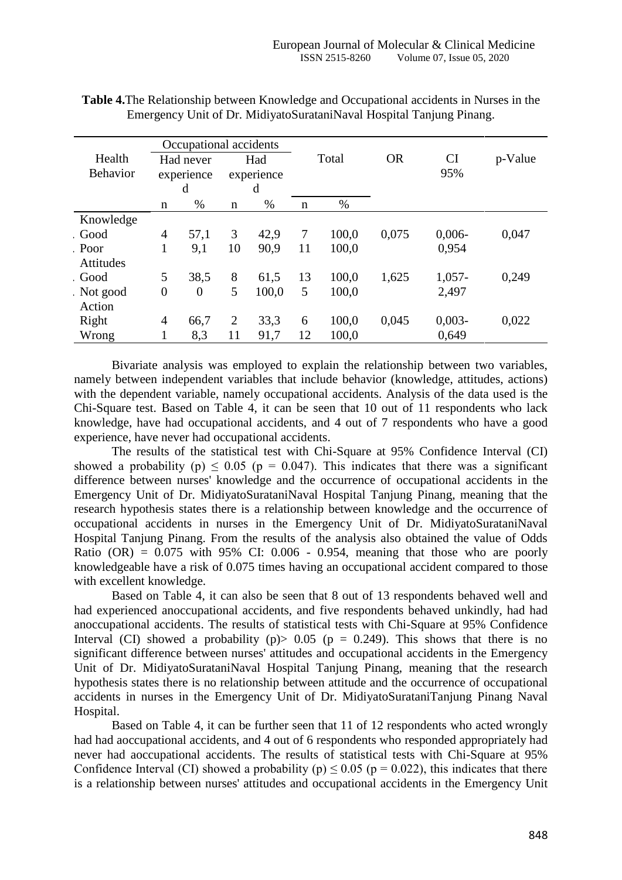| Occupational accidents    |                              |                  |                        |       |             |       |           |                  |         |
|---------------------------|------------------------------|------------------|------------------------|-------|-------------|-------|-----------|------------------|---------|
| Health<br><b>Behavior</b> | Had never<br>experience<br>d |                  | Had<br>experience<br>d |       | Total       |       | <b>OR</b> | <b>CI</b><br>95% | p-Value |
|                           | n                            | $\%$             | n                      | %     | $\mathbf n$ | $\%$  |           |                  |         |
| Knowledge                 |                              |                  |                        |       |             |       |           |                  |         |
| Good                      | 4                            | 57,1             | 3                      | 42,9  | 7           | 100,0 | 0,075     | $0,006 -$        | 0,047   |
| Poor<br><b>Attitudes</b>  | $\mathbf{1}$                 | 9,1              | 10                     | 90,9  | 11          | 100,0 |           | 0,954            |         |
| . Good                    | 5                            | 38,5             | 8                      | 61,5  | 13          | 100,0 | 1,625     | $1,057-$         | 0,249   |
| Not good<br>Action        | $\overline{0}$               | $\boldsymbol{0}$ | 5                      | 100,0 | 5           | 100,0 |           | 2,497            |         |
| Right                     | 4                            | 66,7             | $\overline{2}$         | 33,3  | 6           | 100,0 | 0,045     | $0,003 -$        | 0,022   |
| Wrong                     |                              | 8,3              | 11                     | 91,7  | 12          | 100,0 |           | 0,649            |         |

**Table 4.**The Relationship between Knowledge and Occupational accidents in Nurses in the Emergency Unit of Dr. MidiyatoSurataniNaval Hospital Tanjung Pinang.

Bivariate analysis was employed to explain the relationship between two variables, namely between independent variables that include behavior (knowledge, attitudes, actions) with the dependent variable, namely occupational accidents. Analysis of the data used is the Chi-Square test. Based on Table 4, it can be seen that 10 out of 11 respondents who lack knowledge, have had occupational accidents, and 4 out of 7 respondents who have a good experience, have never had occupational accidents.

The results of the statistical test with Chi-Square at 95% Confidence Interval (CI) showed a probability (p)  $\leq 0.05$  (p = 0.047). This indicates that there was a significant difference between nurses' knowledge and the occurrence of occupational accidents in the Emergency Unit of Dr. MidiyatoSurataniNaval Hospital Tanjung Pinang, meaning that the research hypothesis states there is a relationship between knowledge and the occurrence of occupational accidents in nurses in the Emergency Unit of Dr. MidiyatoSurataniNaval Hospital Tanjung Pinang. From the results of the analysis also obtained the value of Odds Ratio  $(OR) = 0.075$  with 95% CI: 0.006 - 0.954, meaning that those who are poorly knowledgeable have a risk of 0.075 times having an occupational accident compared to those with excellent knowledge.

Based on Table 4, it can also be seen that 8 out of 13 respondents behaved well and had experienced anoccupational accidents, and five respondents behaved unkindly, had had anoccupational accidents. The results of statistical tests with Chi-Square at 95% Confidence Interval (CI) showed a probability (p)  $> 0.05$  (p = 0.249). This shows that there is no significant difference between nurses' attitudes and occupational accidents in the Emergency Unit of Dr. MidiyatoSurataniNaval Hospital Tanjung Pinang, meaning that the research hypothesis states there is no relationship between attitude and the occurrence of occupational accidents in nurses in the Emergency Unit of Dr. MidiyatoSurataniTanjung Pinang Naval Hospital.

Based on Table 4, it can be further seen that 11 of 12 respondents who acted wrongly had had aoccupational accidents, and 4 out of 6 respondents who responded appropriately had never had aoccupational accidents. The results of statistical tests with Chi-Square at 95% Confidence Interval (CI) showed a probability (p)  $\leq 0.05$  (p = 0.022), this indicates that there is a relationship between nurses' attitudes and occupational accidents in the Emergency Unit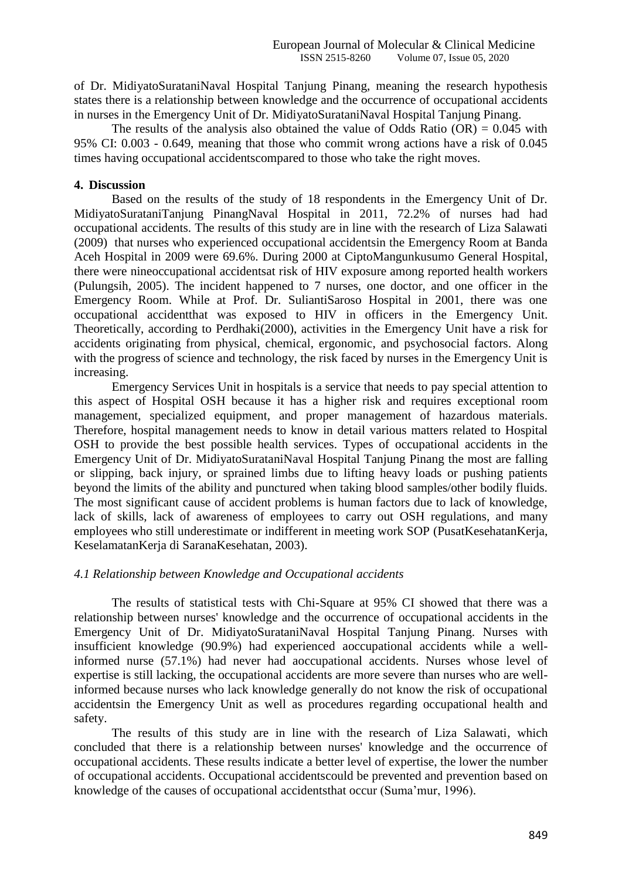of Dr. MidiyatoSurataniNaval Hospital Tanjung Pinang, meaning the research hypothesis states there is a relationship between knowledge and the occurrence of occupational accidents in nurses in the Emergency Unit of Dr. MidiyatoSurataniNaval Hospital Tanjung Pinang.

The results of the analysis also obtained the value of Odds Ratio  $(OR) = 0.045$  with 95% CI: 0.003 - 0.649, meaning that those who commit wrong actions have a risk of 0.045 times having occupational accidentscompared to those who take the right moves.

## **4. Discussion**

Based on the results of the study of 18 respondents in the Emergency Unit of Dr. MidiyatoSurataniTanjung PinangNaval Hospital in 2011, 72.2% of nurses had had occupational accidents. The results of this study are in line with the research of Liza Salawati (2009) that nurses who experienced occupational accidentsin the Emergency Room at Banda Aceh Hospital in 2009 were 69.6%. During 2000 at CiptoMangunkusumo General Hospital, there were nineoccupational accidentsat risk of HIV exposure among reported health workers (Pulungsih, 2005). The incident happened to 7 nurses, one doctor, and one officer in the Emergency Room. While at Prof. Dr. SuliantiSaroso Hospital in 2001, there was one occupational accidentthat was exposed to HIV in officers in the Emergency Unit. Theoretically, according to Perdhaki(2000), activities in the Emergency Unit have a risk for accidents originating from physical, chemical, ergonomic, and psychosocial factors. Along with the progress of science and technology, the risk faced by nurses in the Emergency Unit is increasing.

Emergency Services Unit in hospitals is a service that needs to pay special attention to this aspect of Hospital OSH because it has a higher risk and requires exceptional room management, specialized equipment, and proper management of hazardous materials. Therefore, hospital management needs to know in detail various matters related to Hospital OSH to provide the best possible health services. Types of occupational accidents in the Emergency Unit of Dr. MidiyatoSurataniNaval Hospital Tanjung Pinang the most are falling or slipping, back injury, or sprained limbs due to lifting heavy loads or pushing patients beyond the limits of the ability and punctured when taking blood samples/other bodily fluids. The most significant cause of accident problems is human factors due to lack of knowledge, lack of skills, lack of awareness of employees to carry out OSH regulations, and many employees who still underestimate or indifferent in meeting work SOP (PusatKesehatanKerja, KeselamatanKerja di SaranaKesehatan, 2003).

#### *4.1 Relationship between Knowledge and Occupational accidents*

The results of statistical tests with Chi-Square at 95% CI showed that there was a relationship between nurses' knowledge and the occurrence of occupational accidents in the Emergency Unit of Dr. MidiyatoSurataniNaval Hospital Tanjung Pinang. Nurses with insufficient knowledge (90.9%) had experienced aoccupational accidents while a wellinformed nurse (57.1%) had never had aoccupational accidents. Nurses whose level of expertise is still lacking, the occupational accidents are more severe than nurses who are wellinformed because nurses who lack knowledge generally do not know the risk of occupational accidentsin the Emergency Unit as well as procedures regarding occupational health and safety.

The results of this study are in line with the research of Liza Salawati, which concluded that there is a relationship between nurses' knowledge and the occurrence of occupational accidents. These results indicate a better level of expertise, the lower the number of occupational accidents. Occupational accidentscould be prevented and prevention based on knowledge of the causes of occupational accidentsthat occur (Suma'mur, 1996).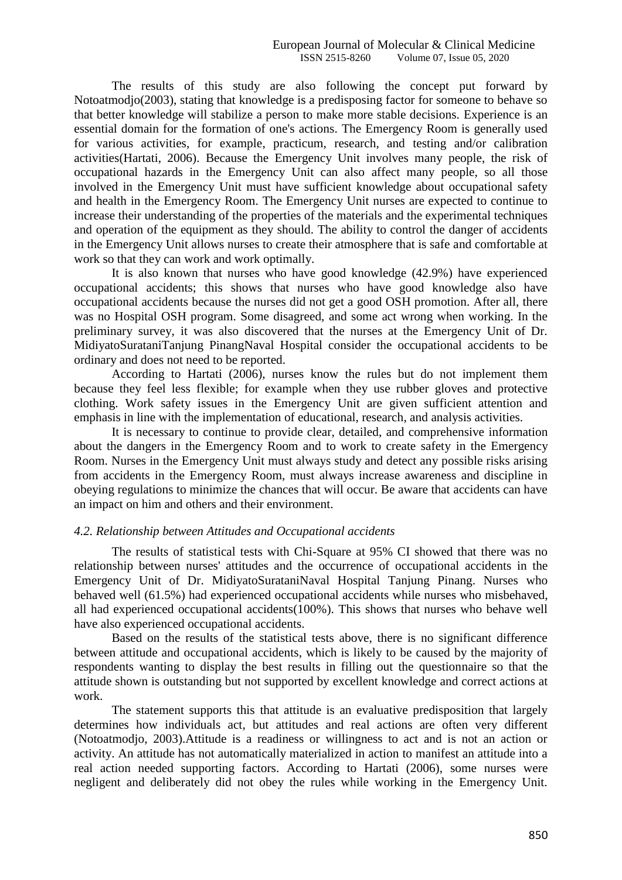The results of this study are also following the concept put forward by Notoatmodjo(2003), stating that knowledge is a predisposing factor for someone to behave so that better knowledge will stabilize a person to make more stable decisions. Experience is an essential domain for the formation of one's actions. The Emergency Room is generally used for various activities, for example, practicum, research, and testing and/or calibration activities(Hartati, 2006). Because the Emergency Unit involves many people, the risk of occupational hazards in the Emergency Unit can also affect many people, so all those involved in the Emergency Unit must have sufficient knowledge about occupational safety and health in the Emergency Room. The Emergency Unit nurses are expected to continue to increase their understanding of the properties of the materials and the experimental techniques and operation of the equipment as they should. The ability to control the danger of accidents in the Emergency Unit allows nurses to create their atmosphere that is safe and comfortable at work so that they can work and work optimally.

It is also known that nurses who have good knowledge (42.9%) have experienced occupational accidents; this shows that nurses who have good knowledge also have occupational accidents because the nurses did not get a good OSH promotion. After all, there was no Hospital OSH program. Some disagreed, and some act wrong when working. In the preliminary survey, it was also discovered that the nurses at the Emergency Unit of Dr. MidiyatoSurataniTanjung PinangNaval Hospital consider the occupational accidents to be ordinary and does not need to be reported.

According to Hartati (2006), nurses know the rules but do not implement them because they feel less flexible; for example when they use rubber gloves and protective clothing. Work safety issues in the Emergency Unit are given sufficient attention and emphasis in line with the implementation of educational, research, and analysis activities.

It is necessary to continue to provide clear, detailed, and comprehensive information about the dangers in the Emergency Room and to work to create safety in the Emergency Room. Nurses in the Emergency Unit must always study and detect any possible risks arising from accidents in the Emergency Room, must always increase awareness and discipline in obeying regulations to minimize the chances that will occur. Be aware that accidents can have an impact on him and others and their environment.

#### *4.2. Relationship between Attitudes and Occupational accidents*

The results of statistical tests with Chi-Square at 95% CI showed that there was no relationship between nurses' attitudes and the occurrence of occupational accidents in the Emergency Unit of Dr. MidiyatoSurataniNaval Hospital Tanjung Pinang. Nurses who behaved well (61.5%) had experienced occupational accidents while nurses who misbehaved, all had experienced occupational accidents(100%). This shows that nurses who behave well have also experienced occupational accidents.

Based on the results of the statistical tests above, there is no significant difference between attitude and occupational accidents, which is likely to be caused by the majority of respondents wanting to display the best results in filling out the questionnaire so that the attitude shown is outstanding but not supported by excellent knowledge and correct actions at work.

The statement supports this that attitude is an evaluative predisposition that largely determines how individuals act, but attitudes and real actions are often very different (Notoatmodjo, 2003).Attitude is a readiness or willingness to act and is not an action or activity. An attitude has not automatically materialized in action to manifest an attitude into a real action needed supporting factors. According to Hartati (2006), some nurses were negligent and deliberately did not obey the rules while working in the Emergency Unit.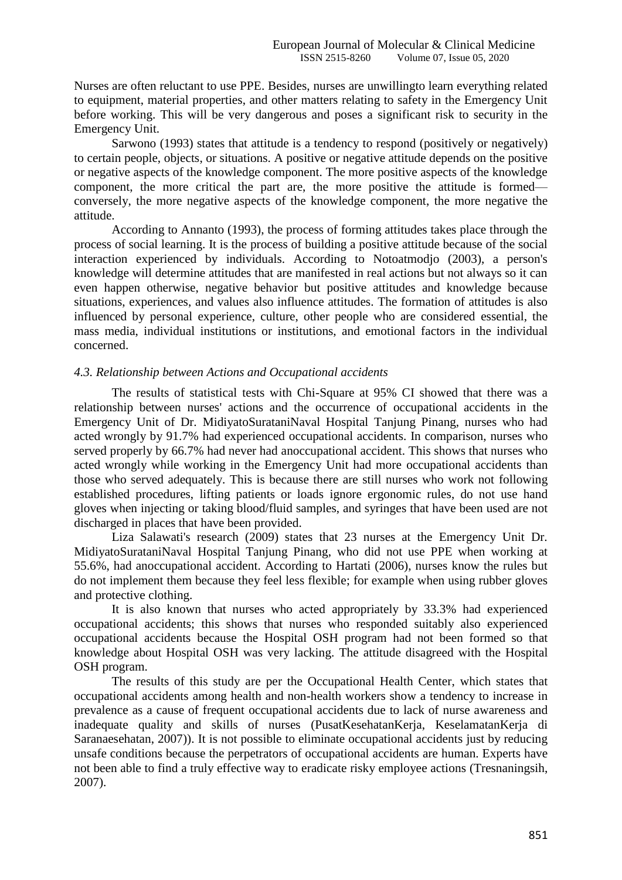Nurses are often reluctant to use PPE. Besides, nurses are unwillingto learn everything related to equipment, material properties, and other matters relating to safety in the Emergency Unit before working. This will be very dangerous and poses a significant risk to security in the Emergency Unit.

Sarwono (1993) states that attitude is a tendency to respond (positively or negatively) to certain people, objects, or situations. A positive or negative attitude depends on the positive or negative aspects of the knowledge component. The more positive aspects of the knowledge component, the more critical the part are, the more positive the attitude is formed conversely, the more negative aspects of the knowledge component, the more negative the attitude.

According to Annanto (1993), the process of forming attitudes takes place through the process of social learning. It is the process of building a positive attitude because of the social interaction experienced by individuals. According to Notoatmodjo (2003), a person's knowledge will determine attitudes that are manifested in real actions but not always so it can even happen otherwise, negative behavior but positive attitudes and knowledge because situations, experiences, and values also influence attitudes. The formation of attitudes is also influenced by personal experience, culture, other people who are considered essential, the mass media, individual institutions or institutions, and emotional factors in the individual concerned.

## *4.3. Relationship between Actions and Occupational accidents*

The results of statistical tests with Chi-Square at 95% CI showed that there was a relationship between nurses' actions and the occurrence of occupational accidents in the Emergency Unit of Dr. MidiyatoSurataniNaval Hospital Tanjung Pinang, nurses who had acted wrongly by 91.7% had experienced occupational accidents. In comparison, nurses who served properly by 66.7% had never had anoccupational accident. This shows that nurses who acted wrongly while working in the Emergency Unit had more occupational accidents than those who served adequately. This is because there are still nurses who work not following established procedures, lifting patients or loads ignore ergonomic rules, do not use hand gloves when injecting or taking blood/fluid samples, and syringes that have been used are not discharged in places that have been provided.

Liza Salawati's research (2009) states that 23 nurses at the Emergency Unit Dr. MidiyatoSurataniNaval Hospital Tanjung Pinang, who did not use PPE when working at 55.6%, had anoccupational accident. According to Hartati (2006), nurses know the rules but do not implement them because they feel less flexible; for example when using rubber gloves and protective clothing.

It is also known that nurses who acted appropriately by 33.3% had experienced occupational accidents; this shows that nurses who responded suitably also experienced occupational accidents because the Hospital OSH program had not been formed so that knowledge about Hospital OSH was very lacking. The attitude disagreed with the Hospital OSH program.

The results of this study are per the Occupational Health Center, which states that occupational accidents among health and non-health workers show a tendency to increase in prevalence as a cause of frequent occupational accidents due to lack of nurse awareness and inadequate quality and skills of nurses (PusatKesehatanKerja, KeselamatanKerja di Saranaesehatan, 2007)). It is not possible to eliminate occupational accidents just by reducing unsafe conditions because the perpetrators of occupational accidents are human. Experts have not been able to find a truly effective way to eradicate risky employee actions (Tresnaningsih, 2007).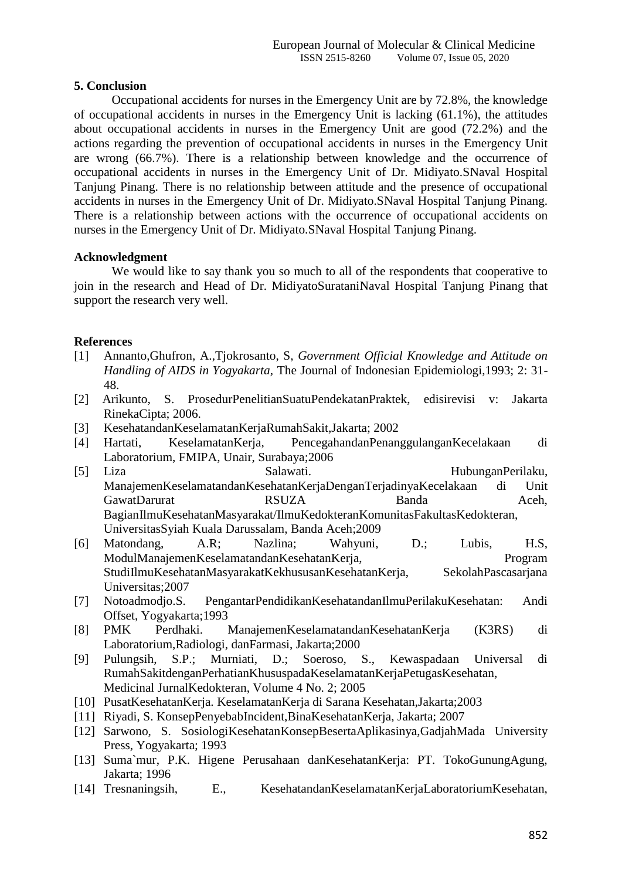## **5. Conclusion**

Occupational accidents for nurses in the Emergency Unit are by 72.8%, the knowledge of occupational accidents in nurses in the Emergency Unit is lacking (61.1%), the attitudes about occupational accidents in nurses in the Emergency Unit are good (72.2%) and the actions regarding the prevention of occupational accidents in nurses in the Emergency Unit are wrong (66.7%). There is a relationship between knowledge and the occurrence of occupational accidents in nurses in the Emergency Unit of Dr. Midiyato.SNaval Hospital Tanjung Pinang. There is no relationship between attitude and the presence of occupational accidents in nurses in the Emergency Unit of Dr. Midiyato.SNaval Hospital Tanjung Pinang. There is a relationship between actions with the occurrence of occupational accidents on nurses in the Emergency Unit of Dr. Midiyato.SNaval Hospital Tanjung Pinang.

## **Acknowledgment**

We would like to say thank you so much to all of the respondents that cooperative to join in the research and Head of Dr. MidiyatoSurataniNaval Hospital Tanjung Pinang that support the research very well.

## **References**

- [1] Annanto,Ghufron, A.,Tjokrosanto, S, *Government Official Knowledge and Attitude on Handling of AIDS in Yogyakarta,* The Journal of Indonesian Epidemiologi,1993; 2: 31- 48.
- [2] Arikunto, S. ProsedurPenelitianSuatuPendekatanPraktek, edisirevisi v: Jakarta RinekaCipta; 2006.
- [3] KesehatandanKeselamatanKerjaRumahSakit,Jakarta; 2002
- [4] Hartati, KeselamatanKerja, PencegahandanPenanggulanganKecelakaan di Laboratorium, FMIPA, Unair, Surabaya;2006
- [5] Liza Salawati. HubunganPerilaku, ManajemenKeselamatandanKesehatanKerjaDenganTerjadinyaKecelakaan di Unit GawatDarurat **RSUZA** Banda Aceh, BagianIlmuKesehatanMasyarakat/IlmuKedokteranKomunitasFakultasKedokteran, UniversitasSyiah Kuala Darussalam, Banda Aceh;2009
- [6] Matondang, A.R; Nazlina; Wahyuni, D.; Lubis, H.S, ModulManajemenKeselamatandanKesehatanKerja, Program StudiIlmuKesehatanMasyarakatKekhususanKesehatanKerja, SekolahPascasarjana Universitas;2007
- [7] Notoadmodjo.S. PengantarPendidikanKesehatandanIlmuPerilakuKesehatan: Andi Offset, Yogyakarta;1993
- [8] PMK Perdhaki. ManajemenKeselamatandanKesehatanKerja (K3RS) di Laboratorium,Radiologi, danFarmasi, Jakarta;2000
- [9] Pulungsih, S.P.; Murniati, D.; Soeroso, S., Kewaspadaan Universal di RumahSakitdenganPerhatianKhususpadaKeselamatanKerjaPetugasKesehatan, Medicinal JurnalKedokteran, Volume 4 No. 2; 2005
- [10] PusatKesehatanKerja. KeselamatanKerja di Sarana Kesehatan,Jakarta;2003
- [11] Riyadi, S. KonsepPenyebabIncident,BinaKesehatanKerja, Jakarta; 2007
- [12] Sarwono, S. SosiologiKesehatanKonsepBesertaAplikasinya,GadjahMada University Press, Yogyakarta; 1993
- [13] Suma`mur, P.K. Higene Perusahaan danKesehatanKerja: PT. TokoGunungAgung, Jakarta; 1996
- [14] Tresnaningsih, E., KesehatandanKeselamatanKerjaLaboratoriumKesehatan,